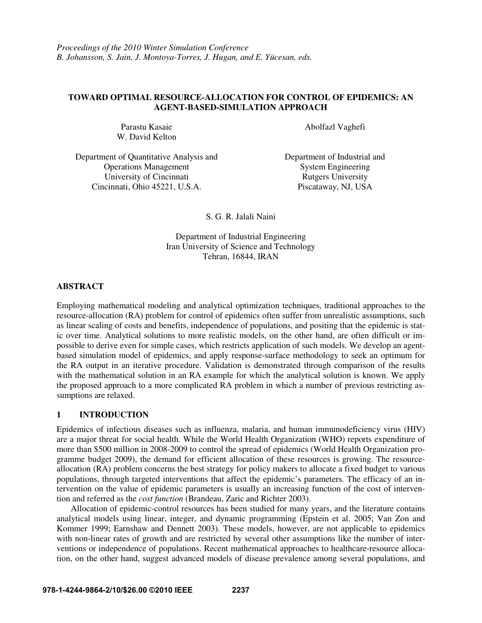# **TOWARD OPTIMAL RESOURCE-ALLOCATION FOR CONTROL OF EPIDEMICS: AN AGENT-BASED-SIMULATION APPROACH**

W. David Kelton

Parastu Kasaie Abolfazl Vaghefi

Department of Quantitative Analysis and Department of Industrial and Operations Management System Engineering University of Cincinnati Rutgers University Cincinnati, Ohio 45221, U.S.A. Piscataway, NJ, USA

S. G. R. Jalali Naini

Department of Industrial Engineering Iran University of Science and Technology Tehran, 16844, IRAN

# **ABSTRACT**

Employing mathematical modeling and analytical optimization techniques, traditional approaches to the resource-allocation (RA) problem for control of epidemics often suffer from unrealistic assumptions, such as linear scaling of costs and benefits, independence of populations, and positing that the epidemic is static over time. Analytical solutions to more realistic models, on the other hand, are often difficult or impossible to derive even for simple cases, which restricts application of such models. We develop an agentbased simulation model of epidemics, and apply response-surface methodology to seek an optimum for the RA output in an iterative procedure. Validation is demonstrated through comparison of the results with the mathematical solution in an RA example for which the analytical solution is known. We apply the proposed approach to a more complicated RA problem in which a number of previous restricting assumptions are relaxed.

# **1 INTRODUCTION**

Epidemics of infectious diseases such as influenza, malaria, and human immunodeficiency virus (HIV) are a major threat for social health. While the World Health Organization (WHO) reports expenditure of more than \$500 million in 2008-2009 to control the spread of epidemics (World Health Organization programme budget 2009), the demand for efficient allocation of these resources is growing. The resourceallocation (RA) problem concerns the best strategy for policy makers to allocate a fixed budget to various populations, through targeted interventions that affect the epidemic's parameters. The efficacy of an intervention on the value of epidemic parameters is usually an increasing function of the cost of intervention and referred as the *cost function* (Brandeau, Zaric and Richter 2003).

Allocation of epidemic-control resources has been studied for many years, and the literature contains analytical models using linear, integer, and dynamic programming (Epstein et al. 2005; Van Zon and Kommer 1999; Earnshaw and Dennett 2003). These models, however, are not applicable to epidemics with non-linear rates of growth and are restricted by several other assumptions like the number of interventions or independence of populations. Recent mathematical approaches to healthcare-resource allocation, on the other hand, suggest advanced models of disease prevalence among several populations, and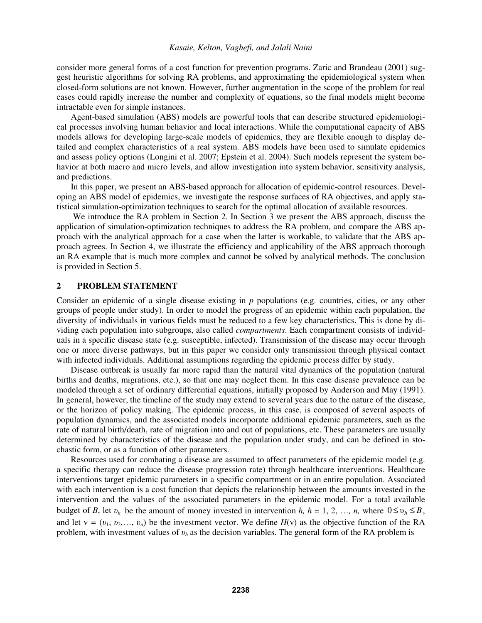consider more general forms of a cost function for prevention programs. Zaric and Brandeau (2001) suggest heuristic algorithms for solving RA problems, and approximating the epidemiological system when closed-form solutions are not known. However, further augmentation in the scope of the problem for real cases could rapidly increase the number and complexity of equations, so the final models might become intractable even for simple instances.

Agent-based simulation (ABS) models are powerful tools that can describe structured epidemiological processes involving human behavior and local interactions. While the computational capacity of ABS models allows for developing large-scale models of epidemics, they are flexible enough to display detailed and complex characteristics of a real system. ABS models have been used to simulate epidemics and assess policy options (Longini et al. 2007; Epstein et al. 2004). Such models represent the system behavior at both macro and micro levels, and allow investigation into system behavior, sensitivity analysis, and predictions.

In this paper, we present an ABS-based approach for allocation of epidemic-control resources. Developing an ABS model of epidemics, we investigate the response surfaces of RA objectives, and apply statistical simulation-optimization techniques to search for the optimal allocation of available resources.

 We introduce the RA problem in Section 2. In Section 3 we present the ABS approach, discuss the application of simulation-optimization techniques to address the RA problem, and compare the ABS approach with the analytical approach for a case when the latter is workable, to validate that the ABS approach agrees. In Section 4, we illustrate the efficiency and applicability of the ABS approach thorough an RA example that is much more complex and cannot be solved by analytical methods. The conclusion is provided in Section 5.

## **2 PROBLEM STATEMENT**

Consider an epidemic of a single disease existing in *p* populations (e.g. countries, cities, or any other groups of people under study). In order to model the progress of an epidemic within each population, the diversity of individuals in various fields must be reduced to a few key characteristics. This is done by dividing each population into subgroups, also called *compartments*. Each compartment consists of individuals in a specific disease state (e.g. susceptible, infected). Transmission of the disease may occur through one or more diverse pathways, but in this paper we consider only transmission through physical contact with infected individuals. Additional assumptions regarding the epidemic process differ by study.

Disease outbreak is usually far more rapid than the natural vital dynamics of the population (natural births and deaths, migrations, etc.), so that one may neglect them. In this case disease prevalence can be modeled through a set of ordinary differential equations, initially proposed by Anderson and May (1991). In general, however, the timeline of the study may extend to several years due to the nature of the disease, or the horizon of policy making. The epidemic process, in this case, is composed of several aspects of population dynamics, and the associated models incorporate additional epidemic parameters, such as the rate of natural birth/death, rate of migration into and out of populations, etc. These parameters are usually determined by characteristics of the disease and the population under study, and can be defined in stochastic form, or as a function of other parameters.

Resources used for combating a disease are assumed to affect parameters of the epidemic model (e.g. a specific therapy can reduce the disease progression rate) through healthcare interventions. Healthcare interventions target epidemic parameters in a specific compartment or in an entire population. Associated with each intervention is a cost function that depicts the relationship between the amounts invested in the intervention and the values of the associated parameters in the epidemic model. For a total available budget of *B*, let  $v_h$  be the amount of money invested in intervention *h*,  $h = 1, 2, ..., n$ , where  $0 \le v_h \le B$ , and let  $v = (v_1, v_2,..., v_n)$  be the investment vector. We define  $H(v)$  as the objective function of the RA problem, with investment values of *υh* as the decision variables. The general form of the RA problem is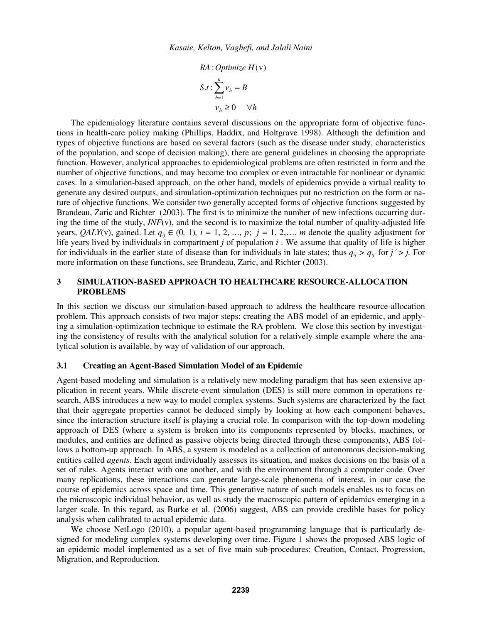$$
RA:Optimize H(v)
$$

$$
S.t: \sum_{h=1}^{n} v_h = B
$$

$$
v_h \ge 0 \quad \forall h
$$

The epidemiology literature contains several discussions on the appropriate form of objective functions in health-care policy making (Phillips, Haddix, and Holtgrave 1998). Although the definition and types of objective functions are based on several factors (such as the disease under study, characteristics of the population, and scope of decision making), there are general guidelines in choosing the appropriate function. However, analytical approaches to epidemiological problems are often restricted in form and the number of objective functions, and may become too complex or even intractable for nonlinear or dynamic cases. In a simulation-based approach, on the other hand, models of epidemics provide a virtual reality to generate any desired outputs, and simulation-optimization techniques put no restriction on the form or nature of objective functions. We consider two generally accepted forms of objective functions suggested by Brandeau, Zaric and Richter (2003). The first is to minimize the number of new infections occurring during the time of the study, *INF*(v), and the second is to maximize the total number of quality-adjusted life years, *QALY*(v), gained. Let  $q_{ij} \in (0, 1)$ ,  $i = 1, 2, ..., p$ ;  $j = 1, 2, ..., m$  denote the quality adjustment for life years lived by individuals in compartment *j* of population *i* . We assume that quality of life is higher for individuals in the earlier state of disease than for individuals in late states; thus  $q_{ii} > q_{ii'}$  for  $j' > j$ . For more information on these functions, see Brandeau, Zaric, and Richter (2003).

# **3 SIMULATION-BASED APPROACH TO HEALTHCARE RESOURCE-ALLOCATION PROBLEMS**

In this section we discuss our simulation-based approach to address the healthcare resource-allocation problem. This approach consists of two major steps: creating the ABS model of an epidemic, and applying a simulation-optimization technique to estimate the RA problem. We close this section by investigating the consistency of results with the analytical solution for a relatively simple example where the analytical solution is available, by way of validation of our approach.

#### **3.1 Creating an Agent-Based Simulation Model of an Epidemic**

Agent-based modeling and simulation is a relatively new modeling paradigm that has seen extensive application in recent years. While discrete-event simulation (DES) is still more common in operations research, ABS introduces a new way to model complex systems. Such systems are characterized by the fact that their aggregate properties cannot be deduced simply by looking at how each component behaves, since the interaction structure itself is playing a crucial role. In comparison with the top-down modeling approach of DES (where a system is broken into its components represented by blocks, machines, or modules, and entities are defined as passive objects being directed through these components), ABS follows a bottom-up approach. In ABS, a system is modeled as a collection of autonomous decision-making entities called *agents*. Each agent individually assesses its situation, and makes decisions on the basis of a set of rules. Agents interact with one another, and with the environment through a computer code. Over many replications, these interactions can generate large-scale phenomena of interest, in our case the course of epidemics across space and time. This generative nature of such models enables us to focus on the microscopic individual behavior, as well as study the macroscopic pattern of epidemics emerging in a larger scale. In this regard, as Burke et al. (2006) suggest, ABS can provide credible bases for policy analysis when calibrated to actual epidemic data.

We choose NetLogo (2010), a popular agent-based programming language that is particularly designed for modeling complex systems developing over time. Figure 1 shows the proposed ABS logic of an epidemic model implemented as a set of five main sub-procedures: Creation, Contact, Progression, Migration, and Reproduction.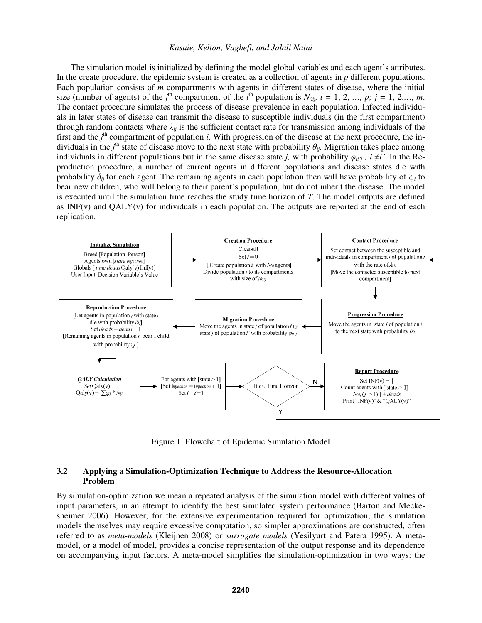The simulation model is initialized by defining the model global variables and each agent's attributes. In the create procedure, the epidemic system is created as a collection of agents in *p* different populations. Each population consists of *m* compartments with agents in different states of disease, where the initial size (number of agents) of the *j*<sup>th</sup> compartment of the *i*<sup>th</sup> population is  $N_{0ij}$ ,  $i = 1, 2, ..., p$ ;  $j = 1, 2, ..., m$ . The contact procedure simulates the process of disease prevalence in each population. Infected individuals in later states of disease can transmit the disease to susceptible individuals (in the first compartment) through random contacts where  $\lambda_{ij}$  is the sufficient contact rate for transmission among individuals of the first and the  $j<sup>th</sup>$  compartment of population *i*. With progression of the disease at the next procedure, the individuals in the  $j^{\text{th}}$  state of disease move to the next state with probability  $\theta_{ij}$ . Migration takes place among individuals in different populations but in the same disease state *j*, with probability  $\varphi_{ii'j}$ ,  $i \neq i'$ . In the Reproduction procedure, a number of current agents in different populations and disease states die with probability  $\delta_{ij}$  for each agent. The remaining agents in each population then will have probability of  $\zeta_i$  to bear new children, who will belong to their parent's population, but do not inherit the disease. The model is executed until the simulation time reaches the study time horizon of *T*. The model outputs are defined as  $INF(v)$  and  $QALY(v)$  for individuals in each population. The outputs are reported at the end of each replication.



Figure 1: Flowchart of Epidemic Simulation Model

## **3.2 Applying a Simulation-Optimization Technique to Address the Resource-Allocation Problem**

By simulation-optimization we mean a repeated analysis of the simulation model with different values of input parameters, in an attempt to identify the best simulated system performance (Barton and Meckesheimer 2006). However, for the extensive experimentation required for optimization, the simulation models themselves may require excessive computation, so simpler approximations are constructed, often referred to as *meta-models* (Kleijnen 2008) or *surrogate models* (Yesilyurt and Patera 1995). A metamodel, or a model of model, provides a concise representation of the output response and its dependence on accompanying input factors. A meta-model simplifies the simulation-optimization in two ways: the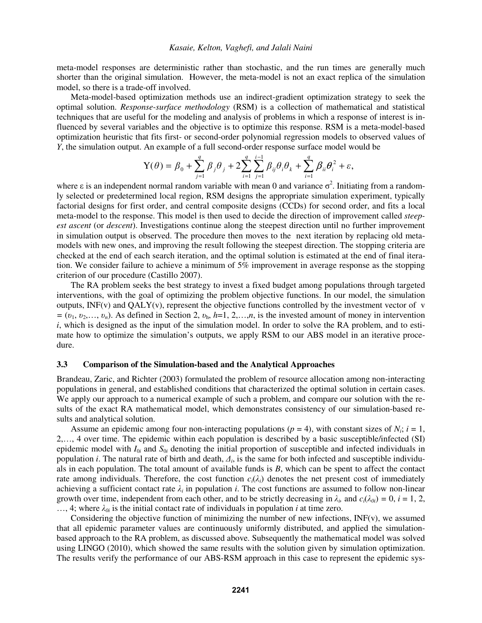meta-model responses are deterministic rather than stochastic, and the run times are generally much shorter than the original simulation. However, the meta-model is not an exact replica of the simulation model, so there is a trade-off involved.

Meta-model-based optimization methods use an indirect-gradient optimization strategy to seek the optimal solution. *Response-surface methodology* (RSM) is a collection of mathematical and statistical techniques that are useful for the modeling and analysis of problems in which a response of interest is influenced by several variables and the objective is to optimize this response. RSM is a meta-model-based optimization heuristic that fits first- or second-order polynomial regression models to observed values of *Y*, the simulation output. An example of a full second-order response surface model would be

$$
Y(\theta) = \beta_0 + \sum_{j=1}^{q} \beta_j \theta_j + 2 \sum_{i=1}^{q} \sum_{j=1}^{i-1} \beta_{ij} \theta_i \theta_k + \sum_{i=1}^{q} \beta_{ii} \theta_i^2 + \varepsilon,
$$

where  $\varepsilon$  is an independent normal random variable with mean 0 and variance  $\sigma^2$ . Initiating from a randomly selected or predetermined local region, RSM designs the appropriate simulation experiment, typically factorial designs for first order, and central composite designs (CCDs) for second order, and fits a local meta-model to the response. This model is then used to decide the direction of improvement called *steepest ascent* (or *descent*). Investigations continue along the steepest direction until no further improvement in simulation output is observed. The procedure then moves to the next iteration by replacing old metamodels with new ones, and improving the result following the steepest direction. The stopping criteria are checked at the end of each search iteration, and the optimal solution is estimated at the end of final iteration. We consider failure to achieve a minimum of 5% improvement in average response as the stopping criterion of our procedure (Castillo 2007).

The RA problem seeks the best strategy to invest a fixed budget among populations through targeted interventions, with the goal of optimizing the problem objective functions. In our model, the simulation outputs,  $INF(v)$  and  $QALY(v)$ , represent the objective functions controlled by the investment vector of v  $= (v_1, v_2, \ldots, v_n)$ . As defined in Section 2,  $v_h$ ,  $h=1, 2, \ldots, n$ , is the invested amount of money in intervention *i*, which is designed as the input of the simulation model. In order to solve the RA problem, and to estimate how to optimize the simulation's outputs, we apply RSM to our ABS model in an iterative procedure.

## **3.3 Comparison of the Simulation-based and the Analytical Approaches**

Brandeau, Zaric, and Richter (2003) formulated the problem of resource allocation among non-interacting populations in general, and established conditions that characterized the optimal solution in certain cases. We apply our approach to a numerical example of such a problem, and compare our solution with the results of the exact RA mathematical model, which demonstrates consistency of our simulation-based results and analytical solution.

Assume an epidemic among four non-interacting populations ( $p = 4$ ), with constant sizes of  $N_i$ ;  $i = 1$ , 2,…, 4 over time. The epidemic within each population is described by a basic susceptible/infected (SI) epidemic model with *I*<sup>0</sup>*i* and *S*<sup>0</sup>*i* denoting the initial proportion of susceptible and infected individuals in population *i*. The natural rate of birth and death, *∆i*, is the same for both infected and susceptible individuals in each population. The total amount of available funds is *B*, which can be spent to affect the contact rate among individuals. Therefore, the cost function  $c_i(\lambda_i)$  denotes the net present cost of immediately achieving a sufficient contact rate  $\lambda_i$  in population *i*. The cost functions are assumed to follow non-linear growth over time, independent from each other, and to be strictly decreasing in  $\lambda_i$ , and  $c_i(\lambda_{0i}) = 0$ ,  $i = 1, 2$ , …, 4; where *λ0i* is the initial contact rate of individuals in population *i* at time zero.

Considering the objective function of minimizing the number of new infections, INF(v), we assumed that all epidemic parameter values are continuously uniformly distributed, and applied the simulationbased approach to the RA problem, as discussed above. Subsequently the mathematical model was solved using LINGO (2010), which showed the same results with the solution given by simulation optimization. The results verify the performance of our ABS-RSM approach in this case to represent the epidemic sys-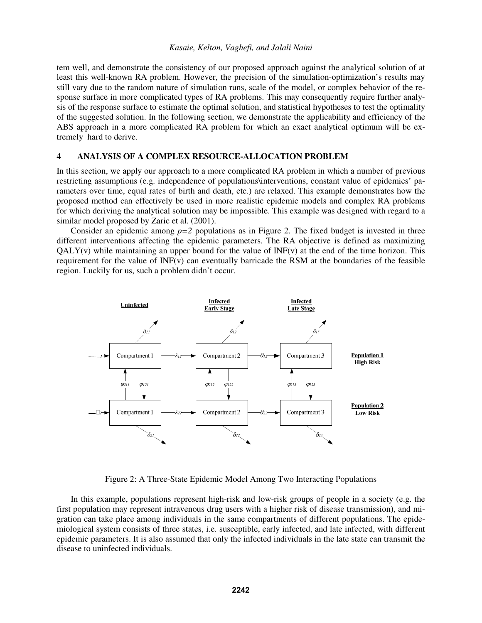tem well, and demonstrate the consistency of our proposed approach against the analytical solution of at least this well-known RA problem. However, the precision of the simulation-optimization's results may still vary due to the random nature of simulation runs, scale of the model, or complex behavior of the response surface in more complicated types of RA problems. This may consequently require further analysis of the response surface to estimate the optimal solution, and statistical hypotheses to test the optimality of the suggested solution. In the following section, we demonstrate the applicability and efficiency of the ABS approach in a more complicated RA problem for which an exact analytical optimum will be extremely hard to derive.

## **4 ANALYSIS OF A COMPLEX RESOURCE-ALLOCATION PROBLEM**

In this section, we apply our approach to a more complicated RA problem in which a number of previous restricting assumptions (e.g. independence of populations\interventions, constant value of epidemics' parameters over time, equal rates of birth and death, etc.) are relaxed. This example demonstrates how the proposed method can effectively be used in more realistic epidemic models and complex RA problems for which deriving the analytical solution may be impossible. This example was designed with regard to a similar model proposed by Zaric et al. (2001).

Consider an epidemic among *p=2* populations as in Figure 2. The fixed budget is invested in three different interventions affecting the epidemic parameters. The RA objective is defined as maximizing  $QALY(v)$  while maintaining an upper bound for the value of  $INF(v)$  at the end of the time horizon. This requirement for the value of  $INF(v)$  can eventually barricade the RSM at the boundaries of the feasible region. Luckily for us, such a problem didn't occur.



Figure 2: A Three-State Epidemic Model Among Two Interacting Populations

In this example, populations represent high-risk and low-risk groups of people in a society (e.g. the first population may represent intravenous drug users with a higher risk of disease transmission), and migration can take place among individuals in the same compartments of different populations. The epidemiological system consists of three states, i.e. susceptible, early infected, and late infected, with different epidemic parameters. It is also assumed that only the infected individuals in the late state can transmit the disease to uninfected individuals.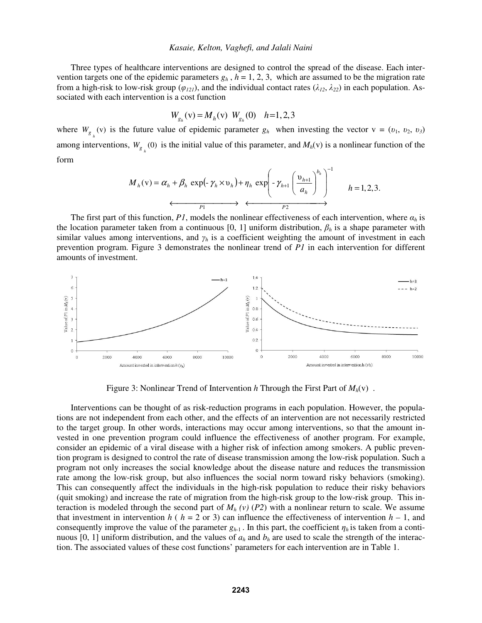Three types of healthcare interventions are designed to control the spread of the disease. Each intervention targets one of the epidemic parameters  $g_h$ ,  $h = 1, 2, 3$ , which are assumed to be the migration rate from a high-risk to low-risk group ( $\varphi_{121}$ ), and the individual contact rates ( $\lambda_{12}$ ,  $\lambda_{22}$ ) in each population. Associated with each intervention is a cost function

$$
W_{g_h}(v) = M_h(v) W_{g_h}(0) \quad h=1,2,3
$$

 $W_{g_h}(v) = M_h(v)$   $W_{g_h}(0)$   $h=1,2,3$ <br>where  $W_{g_h}(v)$  is the future value of epidemic parameter  $g_h$  when investing the vector  $v = (v_1, v_2, v_3)$ among interventions,  $W_{g_h}(0)$  is the initial value of this parameter, and  $M_h(v)$  is a nonlinear function of the form

$$
M_h(\mathbf{v}) = \alpha_h + \beta_h \exp(-\gamma_h \times \mathbf{v}_h) + \eta_h \exp\left(-\gamma_{h+1} \left(\frac{\mathbf{v}_{h+1}}{a_h}\right)^{b_h}\right)^{-1} \qquad h = 1, 2, 3.
$$

The first part of this function, *P1*, models the nonlinear effectiveness of each intervention, where  $\alpha_h$  is the location parameter taken from a continuous [0, 1] uniform distribution, *β<sup>h</sup>* is a shape parameter with similar values among interventions, and *γ<sup>h</sup>* is a coefficient weighting the amount of investment in each prevention program. Figure 3 demonstrates the nonlinear trend of *P1* in each intervention for different amounts of investment.



Figure 3: Nonlinear Trend of Intervention *h* Through the First Part of *Mh*(v) .

Interventions can be thought of as risk-reduction programs in each population. However, the populations are not independent from each other, and the effects of an intervention are not necessarily restricted to the target group. In other words, interactions may occur among interventions, so that the amount invested in one prevention program could influence the effectiveness of another program. For example, consider an epidemic of a viral disease with a higher risk of infection among smokers. A public prevention program is designed to control the rate of disease transmission among the low-risk population. Such a program not only increases the social knowledge about the disease nature and reduces the transmission rate among the low-risk group, but also influences the social norm toward risky behaviors (smoking). This can consequently affect the individuals in the high-risk population to reduce their risky behaviors (quit smoking) and increase the rate of migration from the high-risk group to the low-risk group. This interaction is modeled through the second part of  $M_h$  (v) (P2) with a nonlinear return to scale. We assume that investment in intervention  $h$  ( $h = 2$  or 3) can influence the effectiveness of intervention  $h - 1$ , and consequently improve the value of the parameter  $g_{h-1}$ . In this part, the coefficient  $\eta_h$  is taken from a continuous [0, 1] uniform distribution, and the values of  $a_h$  and  $b_h$  are used to scale the strength of the interaction. The associated values of these cost functions' parameters for each intervention are in Table 1.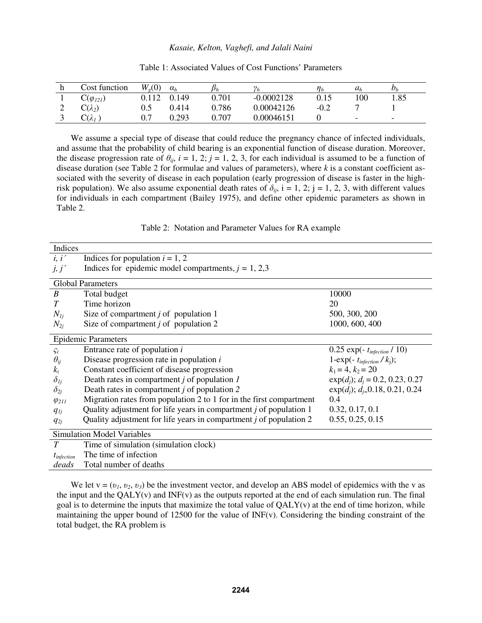|   | Cost function             | W <sub>o</sub> (0) | $\alpha_h$ | $\nu_h$ | $v_h$        | $\eta_h$ | $a_h$                    | $v_h$                    |
|---|---------------------------|--------------------|------------|---------|--------------|----------|--------------------------|--------------------------|
|   | $C(\varphi_{121})$        | 112                | .149       | 0.701   | $-0.0002128$ | 0.15     | 100                      | .85                      |
| ∠ | $C(\lambda_2)$            | 0.5                | 0.414      | 0.786   | 0.00042126   | $-0.2$   |                          |                          |
|   | $\sim$ 1<br>$\mathcal{M}$ | ר ה<br>U.          | 0.293      | 0.707   | 0.00046151   |          | $\overline{\phantom{0}}$ | $\overline{\phantom{0}}$ |

Table 1: Associated Values of Cost Functions' Parameters

We assume a special type of disease that could reduce the pregnancy chance of infected individuals, and assume that the probability of child bearing is an exponential function of disease duration. Moreover, the disease progression rate of  $\theta_{ij}$ ,  $i = 1, 2$ ;  $j = 1, 2, 3$ , for each individual is assumed to be a function of disease duration (see Table 2 for formulae and values of parameters), where *k* is a constant coefficient associated with the severity of disease in each population (early progression of disease is faster in the highrisk population). We also assume exponential death rates of  $\delta_{ij}$ , i = 1, 2; j = 1, 2, 3, with different values for individuals in each compartment (Bailey 1975), and define other epidemic parameters as shown in Table 2.

Table 2: Notation and Parameter Values for RA example

| Indices                           |                                                                        |                                         |  |  |  |  |
|-----------------------------------|------------------------------------------------------------------------|-----------------------------------------|--|--|--|--|
| i, i'                             | Indices for population $i = 1, 2$                                      |                                         |  |  |  |  |
| j, j                              | Indices for epidemic model compartments, $j = 1, 2, 3$                 |                                         |  |  |  |  |
|                                   | <b>Global Parameters</b>                                               |                                         |  |  |  |  |
| B                                 | Total budget                                                           | 10000                                   |  |  |  |  |
|                                   | Time horizon                                                           | 20                                      |  |  |  |  |
| $N_{Ii}$                          | Size of compartment $j$ of population 1                                | 500, 300, 200                           |  |  |  |  |
| $N_{2i}$                          | Size of compartment $j$ of population 2                                | 1000, 600, 400                          |  |  |  |  |
|                                   | <b>Epidemic Parameters</b>                                             |                                         |  |  |  |  |
| $\varsigma_i$                     | Entrance rate of population <i>i</i>                                   | 0.25 $exp(-t_{\text{infection}}/10)$    |  |  |  |  |
| $\theta_{ii}$                     | Disease progression rate in population $i$                             | 1-exp(- $t_{\text{infection}} / k_i$ ); |  |  |  |  |
| $k_i$                             | Constant coefficient of disease progression                            | $k_1 = 4, k_2 = 20$                     |  |  |  |  |
| $\delta_{lj}$                     | Death rates in compartment $j$ of population $I$                       | $\exp(d_i)$ ; $d_i = 0.2, 0.23, 0.27$   |  |  |  |  |
| $\delta_{2i}$                     | Death rates in compartment $j$ of population $2$                       | $\exp(d_i)$ ; $d_i$ =0.18, 0.21, 0.24   |  |  |  |  |
| $\varphi_{211}$                   | Migration rates from population 2 to 1 for in the first compartment    | 0.4                                     |  |  |  |  |
| $q_{1i}$                          | Quality adjustment for life years in compartment $j$ of population $1$ | 0.32, 0.17, 0.1                         |  |  |  |  |
| $q_{2j}$                          | Quality adjustment for life years in compartment $j$ of population $2$ | 0.55, 0.25, 0.15                        |  |  |  |  |
| <b>Simulation Model Variables</b> |                                                                        |                                         |  |  |  |  |
| $\tau$                            | Time of simulation (simulation clock)                                  |                                         |  |  |  |  |
| $t_{\text{infection}}$            | The time of infection                                                  |                                         |  |  |  |  |
| deads                             | Total number of deaths                                                 |                                         |  |  |  |  |

We let  $v = (v_1, v_2, v_3)$  be the investment vector, and develop an ABS model of epidemics with the v as the input and the  $QALY(v)$  and  $INF(v)$  as the outputs reported at the end of each simulation run. The final goal is to determine the inputs that maximize the total value of  $QALY(v)$  at the end of time horizon, while maintaining the upper bound of 12500 for the value of INF(v). Considering the binding constraint of the total budget, the RA problem is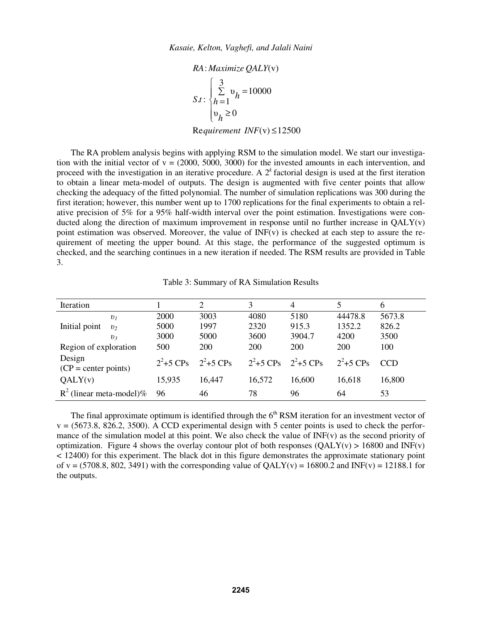RA: Maximize QALY(v)  
\n
$$
S.t: \begin{cases} 3 \\ \sum_{h=1}^{5} v_h = 10000 \\ v_h \ge 0 \end{cases}
$$
\n
$$
Required UNF(v) \le 12500
$$

The RA problem analysis begins with applying RSM to the simulation model. We start our investigation with the initial vector of  $v = (2000, 5000, 3000)$  for the invested amounts in each intervention, and proceed with the investigation in an iterative procedure. A 2*<sup>k</sup>* factorial design is used at the first iteration to obtain a linear meta-model of outputs. The design is augmented with five center points that allow checking the adequacy of the fitted polynomial. The number of simulation replications was 300 during the first iteration; however, this number went up to 1700 replications for the final experiments to obtain a relative precision of 5% for a 95% half-width interval over the point estimation. Investigations were conducted along the direction of maximum improvement in response until no further increase in  $QALY(v)$ point estimation was observed. Moreover, the value of  $INF(v)$  is checked at each step to assure the requirement of meeting the upper bound. At this stage, the performance of the suggested optimum is checked, and the searching continues in a new iteration if needed. The RSM results are provided in Table 3.

|  | Table 3: Summary of RA Simulation Results |  |
|--|-------------------------------------------|--|
|  |                                           |  |

| Iteration                        |                |               | ↑             | 3             | 4             |               | 6          |
|----------------------------------|----------------|---------------|---------------|---------------|---------------|---------------|------------|
|                                  | v <sub>1</sub> | 2000          | 3003          | 4080          | 5180          | 44478.8       | 5673.8     |
| Initial point                    | v <sub>2</sub> | 5000          | 1997          | 2320          | 915.3         | 1352.2        | 826.2      |
|                                  | v <sub>3</sub> | 3000          | 5000          | 3600          | 3904.7        | 4200          | 3500       |
| Region of exploration            |                | 500           | <b>200</b>    | <b>200</b>    | 200           | <b>200</b>    | 100        |
| Design<br>$(CP = center points)$ |                | $2^2 + 5$ CPs | $2^2 + 5$ CPs | $2^2 + 5$ CPs | $2^2 + 5$ CPs | $2^2 + 5$ CPs | <b>CCD</b> |
| QALY(v)                          |                | 15,935        | 16,447        | 16,572        | 16,600        | 16,618        | 16,800     |
| $R^2$ (linear meta-model)%       |                | 96            | 46            | 78            | 96            | 64            | 53         |

The final approximate optimum is identified through the  $6<sup>th</sup> RSM$  iteration for an investment vector of  $v = (5673.8, 826.2, 3500)$ . A CCD experimental design with 5 center points is used to check the performance of the simulation model at this point. We also check the value of  $INF(v)$  as the second priority of optimization. Figure 4 shows the overlay contour plot of both responses  $(QALY(v) > 16800$  and INF(v) < 12400) for this experiment. The black dot in this figure demonstrates the approximate stationary point of v = (5708.8, 802, 3491) with the corresponding value of QALY(v) = 16800.2 and INF(v) = 12188.1 for the outputs.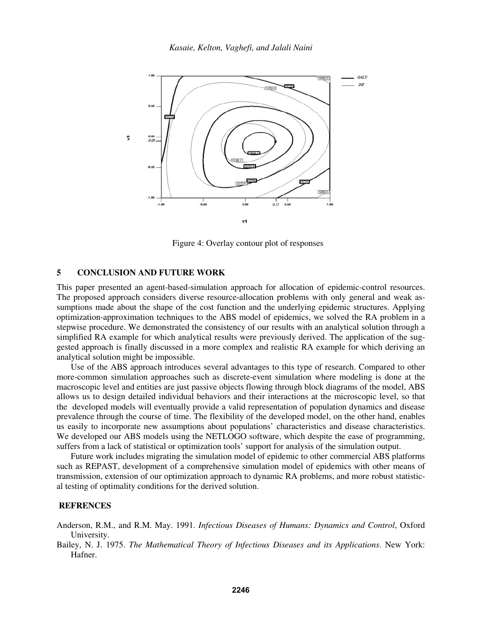

Figure 4: Overlay contour plot of responses

## **5 CONCLUSION AND FUTURE WORK**

This paper presented an agent-based-simulation approach for allocation of epidemic-control resources. The proposed approach considers diverse resource-allocation problems with only general and weak assumptions made about the shape of the cost function and the underlying epidemic structures. Applying optimization-approximation techniques to the ABS model of epidemics, we solved the RA problem in a stepwise procedure. We demonstrated the consistency of our results with an analytical solution through a simplified RA example for which analytical results were previously derived. The application of the suggested approach is finally discussed in a more complex and realistic RA example for which deriving an analytical solution might be impossible.

Use of the ABS approach introduces several advantages to this type of research. Compared to other more-common simulation approaches such as discrete-event simulation where modeling is done at the macroscopic level and entities are just passive objects flowing through block diagrams of the model, ABS allows us to design detailed individual behaviors and their interactions at the microscopic level, so that the developed models will eventually provide a valid representation of population dynamics and disease prevalence through the course of time. The flexibility of the developed model, on the other hand, enables us easily to incorporate new assumptions about populations' characteristics and disease characteristics. We developed our ABS models using the NETLOGO software, which despite the ease of programming, suffers from a lack of statistical or optimization tools' support for analysis of the simulation output.

Future work includes migrating the simulation model of epidemic to other commercial ABS platforms such as REPAST, development of a comprehensive simulation model of epidemics with other means of transmission, extension of our optimization approach to dynamic RA problems, and more robust statistical testing of optimality conditions for the derived solution.

## **REFRENCES**

Anderson, R.M., and R.M. May. 1991. *Infectious Diseases of Humans: Dynamics and Control*, Oxford University.

Bailey, N. J. 1975. *The Mathematical Theory of Infectious Diseases and its Applications*. New York: Hafner.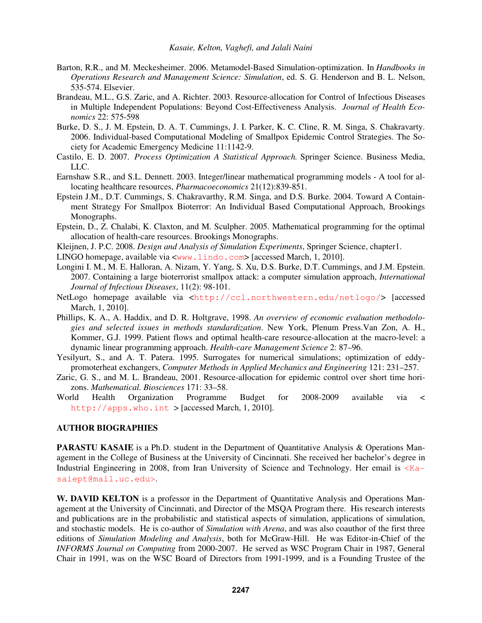- Barton, R.R., and M. Meckesheimer. 2006. Metamodel-Based Simulation-optimization. In *Handbooks in Operations Research and Management Science: Simulation*, ed. S. G. Henderson and B. L. Nelson, 535-574. Elsevier.
- Brandeau, M.L., G.S. Zaric, and A. Richter. 2003. Resource-allocation for Control of Infectious Diseases in Multiple Independent Populations: Beyond Cost-Effectiveness Analysis. *Journal of Health Economics* 22: 575-598
- Burke, D. S., J. M. Epstein, D. A. T. Cummings, J. I. Parker, K. C. Cline, R. M. Singa, S. Chakravarty. 2006. Individual-based Computational Modeling of Smallpox Epidemic Control Strategies. The Society for Academic Emergency Medicine 11:1142-9.
- Castilo, E. D. 2007. *Process Optimization A Statistical Approach.* Springer Science. Business Media, LLC.
- Earnshaw S.R., and S.L. Dennett. 2003. Integer/linear mathematical programming models A tool for allocating healthcare resources, *Pharmacoeconomics* 21(12):839-851.
- Epstein J.M., D.T. Cummings, S. Chakravarthy, R.M. Singa, and D.S. Burke. 2004. Toward A Containment Strategy For Smallpox Bioterror: An Individual Based Computational Approach, Brookings Monographs.
- Epstein, D., Z. Chalabi, K. Claxton, and M. Sculpher. 2005. Mathematical programming for the optimal allocation of health-care resources. Brookings Monographs.
- Kleijnen, J. P.C. 2008. *Design and Analysis of Simulation Experiments*, Springer Science, chapter1.
- LINGO homepage, available via <www.lindo.com> [accessed March, 1, 2010].
- Longini I. M., M. E. Halloran, A. Nizam, Y. Yang, S. Xu, D.S. Burke, D.T. Cummings, and J.M. Epstein. 2007. Containing a large bioterrorist smallpox attack: a computer simulation approach, *International Journal of Infectious Diseases*, 11(2): 98-101.
- NetLogo homepage available via <http://ccl.northwestern.edu/netlogo/> [accessed March, 1, 2010].
- Phillips, K. A., A. Haddix, and D. R. Holtgrave, 1998. *An overview of economic evaluation methodologies and selected issues in methods standardization*. New York, Plenum Press.Van Zon, A. H., Kommer, G.J. 1999. Patient flows and optimal health-care resource-allocation at the macro-level: a dynamic linear programming approach. *Health-care Management Science* 2: 87–96.
- Yesilyurt, S., and A. T. Patera. 1995. Surrogates for numerical simulations; optimization of eddypromoterheat exchangers, *Computer Methods in Applied Mechanics and Engineering* 121: 231–257.
- Zaric, G. S., and M. L. Brandeau, 2001. Resource-allocation for epidemic control over short time horizons. *Mathematical. Biosciences* 171: 33–58.
- World Health Organization Programme Budget for 2008-2009 available via < http://apps.who.int > [accessed March, 1, 2010].

## **AUTHOR BIOGRAPHIES**

**PARASTU KASAIE** is a Ph.D. student in the Department of Quantitative Analysis & Operations Management in the College of Business at the University of Cincinnati. She received her bachelor's degree in Industrial Engineering in 2008, from Iran University of Science and Technology. Her email is  $\langle Ka$ saiept@mail.uc.edu>.

**W. DAVID KELTON** is a professor in the Department of Quantitative Analysis and Operations Management at the University of Cincinnati, and Director of the MSQA Program there. His research interests and publications are in the probabilistic and statistical aspects of simulation, applications of simulation, and stochastic models. He is co-author of *Simulation with Arena*, and was also coauthor of the first three editions of *Simulation Modeling and Analysis*, both for McGraw-Hill. He was Editor-in-Chief of the *INFORMS Journal on Computing* from 2000-2007. He served as WSC Program Chair in 1987, General Chair in 1991, was on the WSC Board of Directors from 1991-1999, and is a Founding Trustee of the